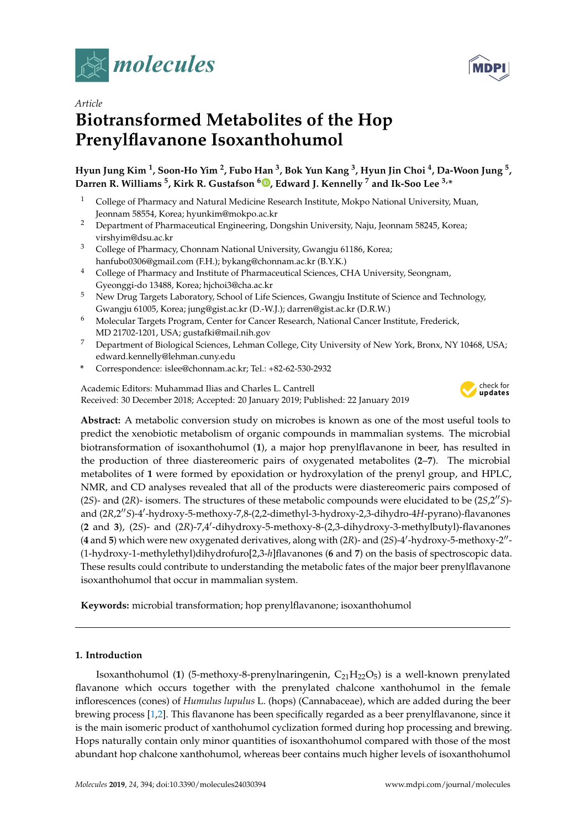



# *Article* **Biotransformed Metabolites of the Hop Prenylflavanone Isoxanthohumol**

## **Hyun Jung Kim <sup>1</sup> , Soon-Ho Yim <sup>2</sup> , Fubo Han <sup>3</sup> , Bok Yun Kang <sup>3</sup> , Hyun Jin Choi <sup>4</sup> , Da-Woon Jung <sup>5</sup> , Darren R. Williams <sup>5</sup> , Kirk R. Gustafson <sup>6</sup> [,](https://orcid.org/0000-0001-6821-4943) Edward J. Kennelly <sup>7</sup> and Ik-Soo Lee 3,\***

- <sup>1</sup> College of Pharmacy and Natural Medicine Research Institute, Mokpo National University, Muan, Jeonnam 58554, Korea; hyunkim@mokpo.ac.kr
- <sup>2</sup> Department of Pharmaceutical Engineering, Dongshin University, Naju, Jeonnam 58245, Korea; virshyim@dsu.ac.kr
- <sup>3</sup> College of Pharmacy, Chonnam National University, Gwangju 61186, Korea; hanfubo0306@gmail.com (F.H.); bykang@chonnam.ac.kr (B.Y.K.)
- <sup>4</sup> College of Pharmacy and Institute of Pharmaceutical Sciences, CHA University, Seongnam, Gyeonggi-do 13488, Korea; hjchoi3@cha.ac.kr
- <sup>5</sup> New Drug Targets Laboratory, School of Life Sciences, Gwangju Institute of Science and Technology, Gwangju 61005, Korea; jung@gist.ac.kr (D.-W.J.); darren@gist.ac.kr (D.R.W.)
- <sup>6</sup> Molecular Targets Program, Center for Cancer Research, National Cancer Institute, Frederick, MD 21702-1201, USA; gustafki@mail.nih.gov
- <sup>7</sup> Department of Biological Sciences, Lehman College, City University of New York, Bronx, NY 10468, USA; edward.kennelly@lehman.cuny.edu
- **\*** Correspondence: islee@chonnam.ac.kr; Tel.: +82-62-530-2932

Academic Editors: Muhammad Ilias and Charles L. Cantrell Received: 30 December 2018; Accepted: 20 January 2019; Published: 22 January 2019



**Abstract:** A metabolic conversion study on microbes is known as one of the most useful tools to predict the xenobiotic metabolism of organic compounds in mammalian systems. The microbial biotransformation of isoxanthohumol (**1**), a major hop prenylflavanone in beer, has resulted in the production of three diastereomeric pairs of oxygenated metabolites (**2**–**7**). The microbial metabolites of **1** were formed by epoxidation or hydroxylation of the prenyl group, and HPLC, NMR, and CD analyses revealed that all of the products were diastereomeric pairs composed of (2*S*)- and (2*R*)- isomers. The structures of these metabolic compounds were elucidated to be  $(2*S*,2<sup>n</sup>*S*)$ and (2*R,2"S*)-4'-hydroxy-5-methoxy-7,8-(2,2-dimethyl-3-hydroxy-2,3-dihydro-4*H-pyrano*)-flavanones (2 and 3), (2S)- and (2R)-7,4'-dihydroxy-5-methoxy-8-(2,3-dihydroxy-3-methylbutyl)-flavanones (4 and 5) which were new oxygenated derivatives, along with (2R)- and (2S)-4'-hydroxy-5-methoxy-2"-(1-hydroxy-1-methylethyl)dihydrofuro[2,3-*h*]flavanones (**6** and **7**) on the basis of spectroscopic data. These results could contribute to understanding the metabolic fates of the major beer prenylflavanone isoxanthohumol that occur in mammalian system.

**Keywords:** microbial transformation; hop prenylflavanone; isoxanthohumol

## **1. Introduction**

Isoxanthohumol (1) (5-methoxy-8-prenylnaringenin,  $C_{21}H_{22}O_5$ ) is a well-known prenylated flavanone which occurs together with the prenylated chalcone xanthohumol in the female inflorescences (cones) of *Humulus lupulus* L. (hops) (Cannabaceae), which are added during the beer brewing process [\[1](#page-8-0)[,2\]](#page-8-1). This flavanone has been specifically regarded as a beer prenylflavanone, since it is the main isomeric product of xanthohumol cyclization formed during hop processing and brewing. Hops naturally contain only minor quantities of isoxanthohumol compared with those of the most abundant hop chalcone xanthohumol, whereas beer contains much higher levels of isoxanthohumol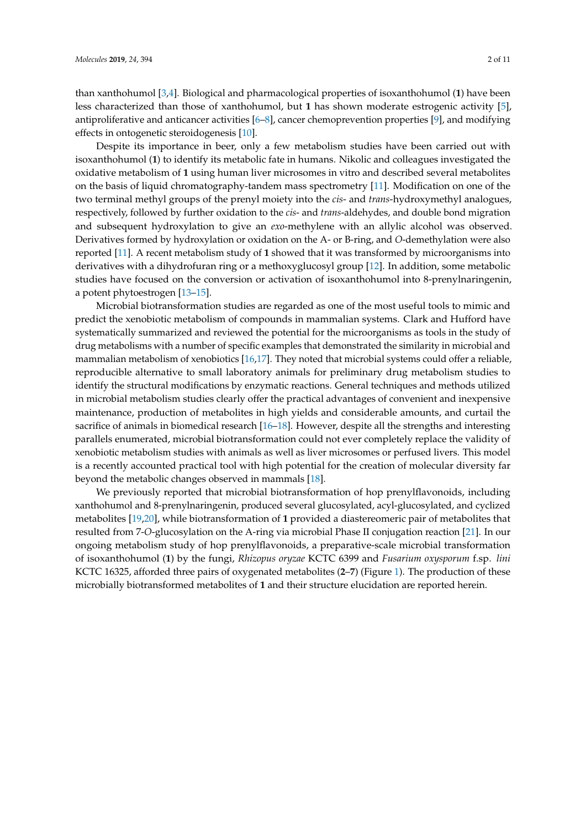than xanthohumol [\[3,](#page-8-2)[4\]](#page-8-3). Biological and pharmacological properties of isoxanthohumol (**1**) have been less characterized than those of xanthohumol, but **1** has shown moderate estrogenic activity [\[5\]](#page-8-4), antiproliferative and anticancer activities [\[6](#page-8-5)[–8\]](#page-8-6), cancer chemoprevention properties [\[9\]](#page-8-7), and modifying effects in ontogenetic steroidogenesis [\[10\]](#page-8-8).

Despite its importance in beer, only a few metabolism studies have been carried out with isoxanthohumol (**1**) to identify its metabolic fate in humans. Nikolic and colleagues investigated the oxidative metabolism of **1** using human liver microsomes in vitro and described several metabolites on the basis of liquid chromatography-tandem mass spectrometry [\[11\]](#page-9-0). Modification on one of the two terminal methyl groups of the prenyl moiety into the *cis*- and *trans*-hydroxymethyl analogues, respectively, followed by further oxidation to the *cis*- and *trans*-aldehydes, and double bond migration and subsequent hydroxylation to give an *exo*-methylene with an allylic alcohol was observed. Derivatives formed by hydroxylation or oxidation on the A- or B-ring, and *O*-demethylation were also reported [\[11\]](#page-9-0). A recent metabolism study of **1** showed that it was transformed by microorganisms into derivatives with a dihydrofuran ring or a methoxyglucosyl group [\[12\]](#page-9-1). In addition, some metabolic studies have focused on the conversion or activation of isoxanthohumol into 8-prenylnaringenin, a potent phytoestrogen [\[13](#page-9-2)[–15\]](#page-9-3).

Microbial biotransformation studies are regarded as one of the most useful tools to mimic and predict the xenobiotic metabolism of compounds in mammalian systems. Clark and Hufford have systematically summarized and reviewed the potential for the microorganisms as tools in the study of drug metabolisms with a number of specific examples that demonstrated the similarity in microbial and mammalian metabolism of xenobiotics [\[16,](#page-9-4)[17\]](#page-9-5). They noted that microbial systems could offer a reliable, reproducible alternative to small laboratory animals for preliminary drug metabolism studies to identify the structural modifications by enzymatic reactions. General techniques and methods utilized in microbial metabolism studies clearly offer the practical advantages of convenient and inexpensive maintenance, production of metabolites in high yields and considerable amounts, and curtail the sacrifice of animals in biomedical research [\[16–](#page-9-4)[18\]](#page-9-6). However, despite all the strengths and interesting parallels enumerated, microbial biotransformation could not ever completely replace the validity of xenobiotic metabolism studies with animals as well as liver microsomes or perfused livers. This model is a recently accounted practical tool with high potential for the creation of molecular diversity far beyond the metabolic changes observed in mammals [\[18\]](#page-9-6).

We previously reported that microbial biotransformation of hop prenylflavonoids, including xanthohumol and 8-prenylnaringenin, produced several glucosylated, acyl-glucosylated, and cyclized metabolites [\[19,](#page-9-7)[20\]](#page-9-8), while biotransformation of **1** provided a diastereomeric pair of metabolites that resulted from 7-*O*-glucosylation on the A-ring via microbial Phase II conjugation reaction [\[21\]](#page-9-9). In our ongoing metabolism study of hop prenylflavonoids, a preparative-scale microbial transformation of isoxanthohumol (**1**) by the fungi, *Rhizopus oryzae* KCTC 6399 and *Fusarium oxysporum* f.sp. *lini* KCTC 16325, afforded three pairs of oxygenated metabolites (**2**–**7**) (Figure [1\)](#page-2-0). The production of these microbially biotransformed metabolites of **1** and their structure elucidation are reported herein.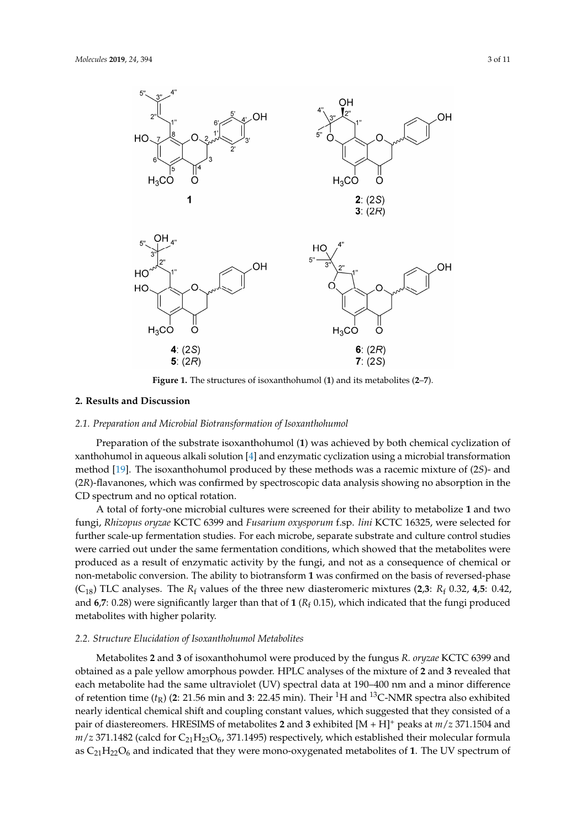<span id="page-2-0"></span>

**Figure 1.** The structures of isoxanthohumol (**1**) and its metabolites (**2**–**7**). **Figure 1.** The structures of isoxanthohumol (**1**) and its metabolites (**2**–**7**).

## **2. Results and Discussion 2. Results and Discussion**

#### *2.1. Preparation and Microbial Biotransformation of Isoxanthohumol 2.1. Preparation and Microbial Biotransformation of Isoxanthohumol*

xanthohumol in aqueous alkali solution [\[4\]](#page-8-3) and enzymatic cyclization using a microbial transformation method [\[19\]](#page-9-7). The isoxanthohumol produced by these methods was a racemic mixture of (2*S*)- and (2*R*)-flavanones, which was confirmed by spectroscopic data analysis showing no absorption in the CD spectrum and no optical rotation. Preparation of the substrate isoxanthohumol (**1**) was achieved by both chemical cyclization of

A total of forty-one microbial cultures were screened for their ability to metabolize **1** and two A total of forty-one microbial cultures were screened for their ability to metabolize **1** and two fungi, *Rhizopus oryzae* KCTC 6399 and *Fusarium oxysporum* f.sp. *lini* KCTC 16325, were selected for further scale-up fermentation studies. For each microbe, separate substrate and culture control studies were carried out under the same fermentation conditions, which showed that the metabolites were produced as a result of enzymatic activity by the fungi, and not as a consequence of chemical or non-metabolic conversion. The ability to biotransform **1** was confirmed on the basis of reversed-phase (C<sub>18</sub>) TLC analyses. The  $R_f$  values of the three new diasteromeric mixtures (2,3:  $R_f$  0.32, 4,5: 0.42, and  $6.7: 0.28$ , were significantly larger than that of  $1(B, 0.15)$  which indicated that the functionalyzed and 6,7: 0.28) were significantly larger than that of 1 ( $R_f$  0.15), which indicated that the fungi produced<br>motabolites with higher polarity metabolites with higher polarity. metabolites with higher polarity.

#### *2.2. Structure Elucidation of Isoxanthohumol Metabolites*

*2.2. Structure Elucidation of Isoxanthohumol Metabolites* obtained as a pale yellow amorphous powder. HPLC analyses of the mixture of 2 and 3 revealed that each metabolite had the same ultraviolet (UV) spectral data at 190–400 nm and a minor difference of retention time (*t*<sub>R</sub>) (2: 21.56 min and 3: 22.45 min). Their <sup>1</sup>H and <sup>13</sup>C-NMR spectra also exhibited nearly identical chemical shift and coupling constant values, which suggested that they consisted of a pair of diastereomers. HRESIMS of metabolites 2 and 3 exhibited  $[M + H]$ <sup>+</sup> peaks at  $m/z$  371.1504 and  $m/z$  371.1482 (calcd for  $C_{21}H_{23}O_6$ , 371.1495) respectively, which established their molecular formula as  $C_{21}H_{22}O_6$  and indicated that they were mono-oxygenated metabolites of 1. The UV spectrum of Metabolites **2** and **3** of isoxanthohumol were produced by the fungus *R. oryzae* KCTC 6399 and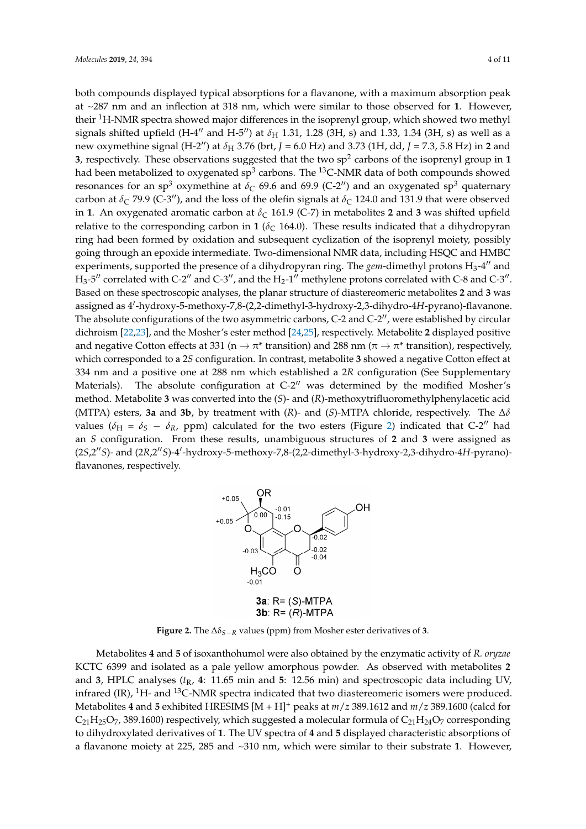both compounds displayed typical absorptions for a flavanone, with a maximum absorption peak at ~287 nm and an inflection at 318 nm, which were similar to those observed for **1**. However, their <sup>1</sup>H-NMR spectra showed major differences in the isoprenyl group, which showed two methyl signals shifted upfield (H-4<sup> $\prime\prime$ </sup> and H-5<sup> $\prime\prime$ </sup>) at  $\delta$ <sub>H</sub> 1.31, 1.28 (3H, s) and 1.33, 1.34 (3H, s) as well as a new oxymethine signal (H-2") at  $\delta_H$  3.76 (brt, J = 6.0 Hz) and 3.73 (1H, dd, J = 7.3, 5.8 Hz) in 2 and 3, respectively. These observations suggested that the two  $sp^2$  carbons of the isoprenyl group in 1 had been metabolized to oxygenated sp<sup>3</sup> carbons. The <sup>13</sup>C-NMR data of both compounds showed resonances for an sp<sup>3</sup> oxymethine at  $\delta$ <sub>C</sub> 69.6 and 69.9 (C-2") and an oxygenated sp<sup>3</sup> quaternary carbon at  $\delta_C$  79.9 (C-3"), and the loss of the olefin signals at  $\delta_C$  124.0 and 131.9 that were observed in 1. An oxygenated aromatic carbon at  $\delta_C$  161.9 (C-7) in metabolites 2 and 3 was shifted upfield relative to the corresponding carbon in 1 ( $\delta$ <sub>C</sub> 164.0). These results indicated that a dihydropyran ring had been formed by oxidation and subsequent cyclization of the isoprenyl moiety, possibly going through an epoxide intermediate. Two-dimensional NMR data, including HSQC and HMBC experiments, supported the presence of a dihydropyran ring. The *gem*-dimethyl protons H<sub>3</sub>-4<sup>*n*</sup> and  $H_3$ -5" correlated with C-2" and C-3", and the  $H_2$ -1" methylene protons correlated with C-8 and C-3". Based on these spectroscopic analyses, the planar structure of diastereomeric metabolites 2 and 3 was assigned as 4'-hydroxy-5-methoxy-7,8-(2,2-dimethyl-3-hydroxy-2,3-dihydro-4H-pyrano)-flavanone. The absolute configurations of the two asymmetric carbons, C-2 and C-2<sup>*n*</sup>, were established by circular dichroism [\[22,](#page-9-10)[23\]](#page-9-11), and the Mosher's ester method [\[24](#page-9-12)[,25\]](#page-9-13), respectively. Metabolite 2 displayed positive and negative Cotton effects at 331 (n  $\rightarrow \pi^*$  transition) and 288 nm ( $\pi \rightarrow \pi^*$  transition), respectively, which corresponded to a 2*S* configuration. In contrast, metabolite **3** showed a negative Cotton effect at 334 nm and a positive one at 288 nm which established a 2*R* configuration (See Supplementary Materials). The absolute configuration at C-2<sup>*n*</sup> was determined by the modified Mosher's method. Metabolite **3** was converted into the (S)- and (R)-methoxytrifluoromethylphenylacetic acid (MTPA) esters, 3a and 3b, by treatment with (R)- and (S)-MTPA chloride, respectively. The  $\Delta\delta$ values ( $\delta_H = \delta_S - \delta_R$ , ppm) calculated for the two esters (Figure [2\)](#page-3-0) indicated that C-2" had an *S* configuration. From these results, unambiguous structures of 2 and 3 were assigned as (2S,2"S)- and (2R,2"S)-4'-hydroxy-5-methoxy-7,8-(2,2-dimethyl-3-hydroxy-2,3-dihydro-4H-pyrano)flavanones, respectively.

<span id="page-3-0"></span>

**Figure 2.** The ∆δ*S*−*<sup>R</sup>* values (ppm) from Mosher ester derivatives of **3**.

KCTC 6399 and isolated as a pale yellow amorphous powder. As observed with metabolites **2** and 3, HPLC analyses  $(t_R, 4: 11.65 \text{ min}$  and 5: 12.56 min) and spectroscopic data including UV, infrared (IR), <sup>1</sup>H- and <sup>13</sup>C-NMR spectra indicated that two diastereomeric isomers were produced. Metabolites 4 and 5 exhibited HRESIMS  $[M + H]^+$  peaks at  $m/z$  389.1612 and  $m/z$  389.1600 (calcd for  $C_{21}H_{25}O_7$ , 389.1600) respectively, which suggested a molecular formula of  $C_{21}H_{24}O_7$  corresponding to dihydroxylated derivatives of 1. The UV spectra of 4 and 5 displayed characteristic absorptions of a flavanone moiety at 225, 285 and ~310 nm, which were similar to their substrate 1. However, Metabolites **4** and **5** of isoxanthohumol were also obtained by the enzymatic activity of *R. oryzae*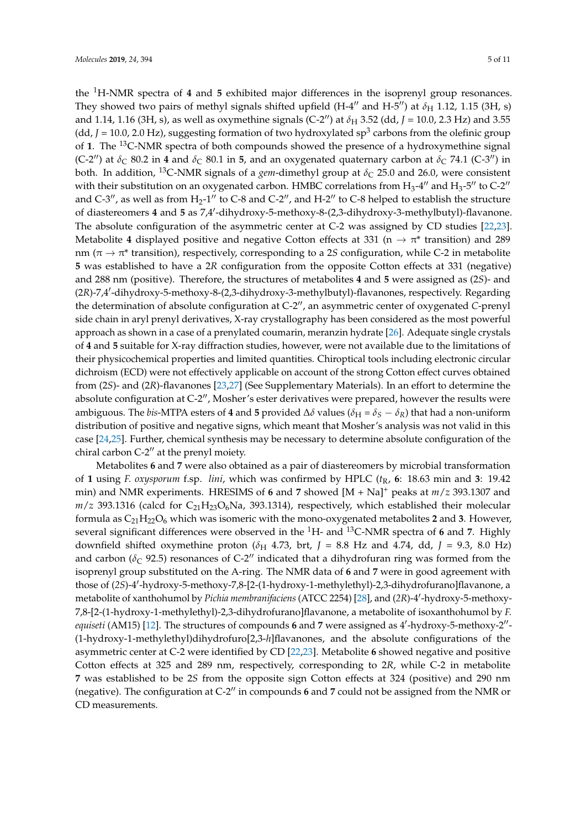the <sup>1</sup>H-NMR spectra of **4** and **5** exhibited major differences in the isoprenyl group resonances. They showed two pairs of methyl signals shifted upfield (H-4<sup>*u*</sup> and H-5<sup>*u*</sup>) at  $\delta_H$  1.12, 1.15 (3H, s) and 1.14, 1.16 (3H, s), as well as oxymethine signals (C-2<sup>*n*</sup>) at *δ*<sub>H</sub> 3.52 (dd, *J* = 10.0, 2.3 Hz) and 3.55 (dd, *J* = 10.0, 2.0 Hz), suggesting formation of two hydroxylated sp<sup>3</sup> carbons from the olefinic group of **1**. The <sup>13</sup>C-NMR spectra of both compounds showed the presence of a hydroxymethine signal (C-2") at  $\delta$ <sub>C</sub> 80.2 in 4 and  $\delta$ <sub>C</sub> 80.1 in 5, and an oxygenated quaternary carbon at  $\delta$ <sub>C</sub> 74.1 (C-3") in both. In addition, <sup>13</sup>C-NMR signals of a *gem*-dimethyl group at  $\delta_C$  25.0 and 26.0, were consistent with their substitution on an oxygenated carbon. HMBC correlations from  $H_3-4''$  and  $H_3-5''$  to C-2<sup>*n*</sup> and C-3", as well as from  $H_2-1$ " to C-8 and C-2", and H-2" to C-8 helped to establish the structure of diastereomers 4 and 5 as 7,4'-dihydroxy-5-methoxy-8-(2,3-dihydroxy-3-methylbutyl)-flavanone. The absolute configuration of the asymmetric center at C-2 was assigned by CD studies [\[22,](#page-9-10)[23\]](#page-9-11). Metabolite 4 displayed positive and negative Cotton effects at 331 ( $n \rightarrow \pi^*$  transition) and 289 nm ( $\pi \rightarrow \pi^*$  transition), respectively, corresponding to a 2*S* configuration, while C-2 in metabolite **5** was established to have a 2*R* configuration from the opposite Cotton effects at 331 (negative) and 288 nm (positive). Therefore, the structures of metabolites **4** and **5** were assigned as (2*S*)- and (2R)-7,4'-dihydroxy-5-methoxy-8-(2,3-dihydroxy-3-methylbutyl)-flavanones, respectively. Regarding the determination of absolute configuration at C-2", an asymmetric center of oxygenated *C*-prenyl side chain in aryl prenyl derivatives, X-ray crystallography has been considered as the most powerful approach as shown in a case of a prenylated coumarin, meranzin hydrate [\[26\]](#page-9-14). Adequate single crystals of **4** and **5** suitable for X-ray diffraction studies, however, were not available due to the limitations of their physicochemical properties and limited quantities. Chiroptical tools including electronic circular dichroism (ECD) were not effectively applicable on account of the strong Cotton effect curves obtained from (2*S*)- and (2*R*)-flavanones [\[23](#page-9-11)[,27\]](#page-9-15) (See Supplementary Materials). In an effort to determine the absolute configuration at  $C-2$ <sup> $\prime\prime$ </sup>, Mosher's ester derivatives were prepared, however the results were ambiguous. The *bis*-MTPA esters of 4 and 5 provided  $\Delta\delta$  values ( $\delta_H = \delta_S - \delta_R$ ) that had a non-uniform distribution of positive and negative signs, which meant that Mosher's analysis was not valid in this case [\[24,](#page-9-12)[25\]](#page-9-13). Further, chemical synthesis may be necessary to determine absolute configuration of the chiral carbon  $C-2''$  at the prenyl moiety.

Metabolites **6** and **7** were also obtained as a pair of diastereomers by microbial transformation of **1** using *F. oxysporum* f.sp. *lini*, which was confirmed by HPLC (*t*R, **6**: 18.63 min and **3**: 19.42 min) and NMR experiments. HRESIMS of **6** and **7** showed [M + Na]<sup>+</sup> peaks at *m*/*z* 393.1307 and  $m/z$  393.1316 (calcd for  $C_{21}H_{23}O_6$ Na, 393.1314), respectively, which established their molecular formula as  $C_{21}H_{22}O_6$  which was isomeric with the mono-oxygenated metabolites 2 and 3. However, several significant differences were observed in the <sup>1</sup>H- and <sup>13</sup>C-NMR spectra of **6** and **7**. Highly downfield shifted oxymethine proton ( $\delta$ H 4.73, brt, *J* = 8.8 Hz and 4.74, dd, *J* = 9.3, 8.0 Hz) and carbon ( $\delta$ <sub>C</sub> 92.5) resonances of C-2<sup>*n*</sup> indicated that a dihydrofuran ring was formed from the isoprenyl group substituted on the A-ring. The NMR data of **6** and **7** were in good agreement with those of (2S)-4'-hydroxy-5-methoxy-7,8-[2-(1-hydroxy-1-methylethyl)-2,3-dihydrofurano]flavanone, a metabolite of xanthohumol by *Pichia membranifaciens* (ATCC 2254) [\[28\]](#page-9-16), and (2R)-4'-hydroxy-5-methoxy-7,8-[2-(1-hydroxy-1-methylethyl)-2,3-dihydrofurano]flavanone, a metabolite of isoxanthohumol by *F.* equiseti (AM15) [\[12\]](#page-9-1). The structures of compounds 6 and 7 were assigned as 4'-hydroxy-5-methoxy-2"-(1-hydroxy-1-methylethyl)dihydrofuro[2,3-*h*]flavanones, and the absolute configurations of the asymmetric center at C-2 were identified by CD [\[22](#page-9-10)[,23\]](#page-9-11). Metabolite **6** showed negative and positive Cotton effects at 325 and 289 nm, respectively, corresponding to 2*R*, while C-2 in metabolite **7** was established to be 2*S* from the opposite sign Cotton effects at 324 (positive) and 290 nm (negative). The configuration at C-2<sup>*n*</sup> in compounds **6** and **7** could not be assigned from the NMR or CD measurements.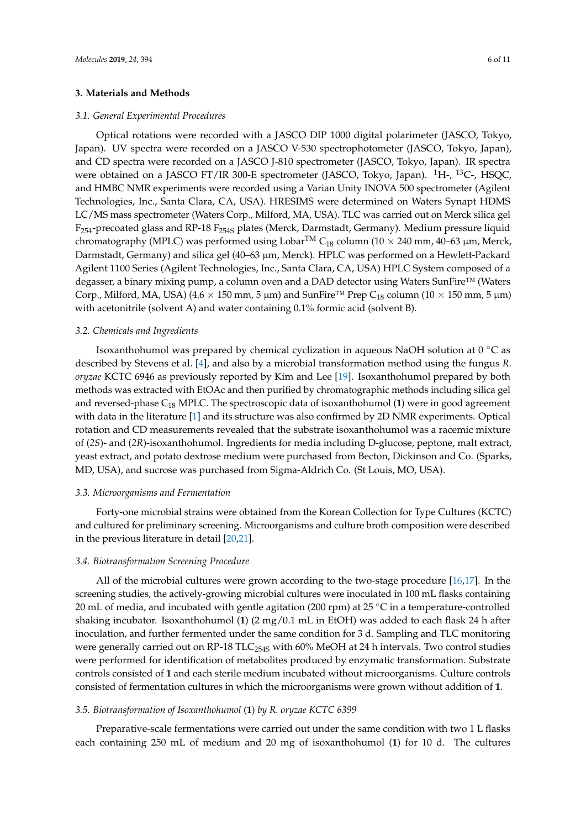#### **3. Materials and Methods**

#### *3.1. General Experimental Procedures*

Optical rotations were recorded with a JASCO DIP 1000 digital polarimeter (JASCO, Tokyo, Japan). UV spectra were recorded on a JASCO V-530 spectrophotometer (JASCO, Tokyo, Japan), and CD spectra were recorded on a JASCO J-810 spectrometer (JASCO, Tokyo, Japan). IR spectra were obtained on a JASCO FT/IR 300-E spectrometer (JASCO, Tokyo, Japan). <sup>1</sup>H-, <sup>13</sup>C-, HSQC, and HMBC NMR experiments were recorded using a Varian Unity INOVA 500 spectrometer (Agilent Technologies, Inc., Santa Clara, CA, USA). HRESIMS were determined on Waters Synapt HDMS LC/MS mass spectrometer (Waters Corp., Milford, MA, USA). TLC was carried out on Merck silica gel  $F_{254}$ -precoated glass and RP-18  $F_{2545}$  plates (Merck, Darmstadt, Germany). Medium pressure liquid chromatography (MPLC) was performed using Lobar<sup>TM</sup> C<sub>18</sub> column (10  $\times$  240 mm, 40–63 µm, Merck, Darmstadt, Germany) and silica gel (40–63 µm, Merck). HPLC was performed on a Hewlett-Packard Agilent 1100 Series (Agilent Technologies, Inc., Santa Clara, CA, USA) HPLC System composed of a degasser, a binary mixing pump, a column oven and a DAD detector using Waters SunFire™ (Waters Corp., Milford, MA, USA) (4.6  $\times$  150 mm, 5 µm) and SunFire<sup>TM</sup> Prep C<sub>18</sub> column (10  $\times$  150 mm, 5 µm) with acetonitrile (solvent A) and water containing 0.1% formic acid (solvent B).

#### *3.2. Chemicals and Ingredients*

Isoxanthohumol was prepared by chemical cyclization in aqueous NaOH solution at 0  $\degree$ C as described by Stevens et al. [\[4\]](#page-8-3), and also by a microbial transformation method using the fungus *R. oryzae* KCTC 6946 as previously reported by Kim and Lee [\[19\]](#page-9-7). Isoxanthohumol prepared by both methods was extracted with EtOAc and then purified by chromatographic methods including silica gel and reversed-phase C<sup>18</sup> MPLC. The spectroscopic data of isoxanthohumol (**1**) were in good agreement with data in the literature [\[1\]](#page-8-0) and its structure was also confirmed by 2D NMR experiments. Optical rotation and CD measurements revealed that the substrate isoxanthohumol was a racemic mixture of (*2S*)- and (*2R*)-isoxanthohumol. Ingredients for media including D-glucose, peptone, malt extract, yeast extract, and potato dextrose medium were purchased from Becton, Dickinson and Co. (Sparks, MD, USA), and sucrose was purchased from Sigma-Aldrich Co. (St Louis, MO, USA).

#### *3.3. Microorganisms and Fermentation*

Forty-one microbial strains were obtained from the Korean Collection for Type Cultures (KCTC) and cultured for preliminary screening. Microorganisms and culture broth composition were described in the previous literature in detail [\[20,](#page-9-8)[21\]](#page-9-9).

#### *3.4. Biotransformation Screening Procedure*

All of the microbial cultures were grown according to the two-stage procedure [\[16,](#page-9-4)[17\]](#page-9-5). In the screening studies, the actively-growing microbial cultures were inoculated in 100 mL flasks containing 20 mL of media, and incubated with gentle agitation (200 rpm) at 25 ℃ in a temperature-controlled shaking incubator. Isoxanthohumol (**1**) (2 mg/0.1 mL in EtOH) was added to each flask 24 h after inoculation, and further fermented under the same condition for 3 d. Sampling and TLC monitoring were generally carried out on RP-18 TLC<sub>254S</sub> with 60% MeOH at 24 h intervals. Two control studies were performed for identification of metabolites produced by enzymatic transformation. Substrate controls consisted of **1** and each sterile medium incubated without microorganisms. Culture controls consisted of fermentation cultures in which the microorganisms were grown without addition of **1**.

#### *3.5. Biotransformation of Isoxanthohumol* (**1**) *by R. oryzae KCTC 6399*

Preparative-scale fermentations were carried out under the same condition with two 1 L flasks each containing 250 mL of medium and 20 mg of isoxanthohumol (**1**) for 10 d. The cultures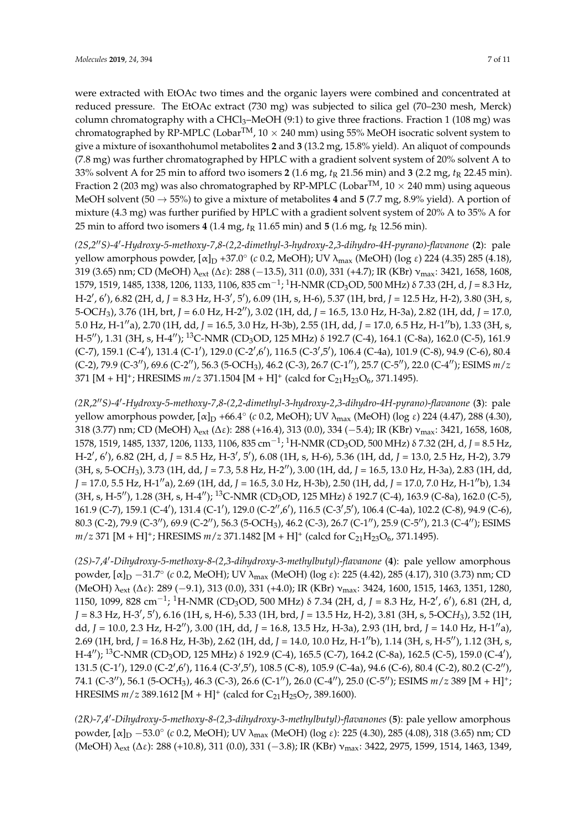were extracted with EtOAc two times and the organic layers were combined and concentrated at reduced pressure. The EtOAc extract (730 mg) was subjected to silica gel (70–230 mesh, Merck) column chromatography with a CHCl<sub>3</sub>–MeOH (9:1) to give three fractions. Fraction 1 (108 mg) was chromatographed by RP-MPLC (Lobar<sup>TM</sup>,  $10 \times 240$  mm) using 55% MeOH isocratic solvent system to give a mixture of isoxanthohumol metabolites **2** and **3** (13.2 mg, 15.8% yield). An aliquot of compounds (7.8 mg) was further chromatographed by HPLC with a gradient solvent system of 20% solvent A to 33% solvent A for 25 min to afford two isomers **2** (1.6 mg, *t*<sup>R</sup> 21.56 min) and **3** (2.2 mg, *t*<sup>R</sup> 22.45 min). Fraction 2 (203 mg) was also chromatographed by RP-MPLC (Lobar<sup>TM</sup>,  $10 \times 240$  mm) using aqueous

MeOH solvent  $(50 \rightarrow 55%)$  to give a mixture of metabolites 4 and 5 (7.7 mg, 8.9% yield). A portion of mixture (4.3 mg) was further purified by HPLC with a gradient solvent system of 20% A to 35% A for 25 min to afford two isomers  $4(1.4 \text{ mg}, t_R 11.65 \text{ min})$  and  $5(1.6 \text{ mg}, t_R 12.56 \text{ min})$ .

(2S,2"S)-4'-Hydroxy-5-methoxy-7,8-(2,2-dimethyl-3-hydroxy-2,3-dihydro-4H-pyrano)-flavanone (2): pale yellow amorphous powder, [α]<sub>D</sub> +37.0° (*c* 0.2, MeOH); UV λ<sub>max</sub> (MeOH) (log ε) 224 (4.35) 285 (4.18), 319 (3.65) nm; CD (MeOH) λext (∆ε): 288 (−13.5), 311 (0.0), 331 (+4.7); IR (KBr) νmax: 3421, 1658, 1608, 1579, 1519, 1485, 1338, 1206, 1133, 1106, 835 cm−<sup>1</sup> ; <sup>1</sup>H-NMR (CD3OD, 500 MHz) δ 7.33 (2H, d, *J* = 8.3 Hz, H-2', 6'), 6.82 (2H, d, J = 8.3 Hz, H-3', 5'), 6.09 (1H, s, H-6), 5.37 (1H, brd, J = 12.5 Hz, H-2), 3.80 (3H, s, 5-OCH<sub>3</sub>), 3.76 (1H, brt, *J* = 6.0 Hz, H-2"), 3.02 (1H, dd, *J* = 16.5, 13.0 Hz, H-3a), 2.82 (1H, dd, *J* = 17.0, 5.0 Hz, H-1"a), 2.70 (1H, dd, *J* = 16.5, 3.0 Hz, H-3b), 2.55 (1H, dd, *J* = 17.0, 6.5 Hz, H-1"b), 1.33 (3H, s, H-5''), 1.31 (3H, s, H-4''); <sup>13</sup>C-NMR (CD<sub>3</sub>OD, 125 MHz) δ 192.7 (C-4), 164.1 (C-8a), 162.0 (C-5), 161.9 (C-7), 159.1 (C-4'), 131.4 (C-1'), 129.0 (C-2',6'), 116.5 (C-3',5'), 106.4 (C-4a), 101.9 (C-8), 94.9 (C-6), 80.4 (C-2), 79.9 (C-3"), 69.6 (C-2"), 56.3 (5-OCH<sub>3</sub>), 46.2 (C-3), 26.7 (C-1"), 25.7 (C-5"), 22.0 (C-4"); ESIMS  $m/z$ 371 [M + H]<sup>+</sup>; HRESIMS  $m/z$  371.1504 [M + H]<sup>+</sup> (calcd for  $C_{21}H_{23}O_6$ , 371.1495).

(2R,2"S)-4'-Hydroxy-5-methoxy-7,8-(2,2-dimethyl-3-hydroxy-2,3-dihydro-4H-pyrano)-flavanone (3): pale yellow amorphous powder, [α]<sub>D</sub> +66.4° (*c* 0.2, MeOH); UV λ<sub>max</sub> (MeOH) (log ε) 224 (4.47), 288 (4.30), 318 (3.77) nm; CD (MeOH) λext (∆ε): 288 (+16.4), 313 (0.0), 334 (−5.4); IR (KBr) νmax: 3421, 1658, 1608, 1578, 1519, 1485, 1337, 1206, 1133, 1106, 835 cm−<sup>1</sup> ; <sup>1</sup>H-NMR (CD3OD, 500 MHz) δ 7.32 (2H, d, *J* = 8.5 Hz, H-2', 6'), 6.82 (2H, d, *J* = 8.5 Hz, H-3', 5'), 6.08 (1H, s, H-6), 5.36 (1H, dd, *J* = 13.0, 2.5 Hz, H-2), 3.79 (3H, s, 5-OCH<sub>3</sub>), 3.73 (1H, dd, *J* = 7.3, 5.8 Hz, H-2"), 3.00 (1H, dd, *J* = 16.5, 13.0 Hz, H-3a), 2.83 (1H, dd, *J* = 17.0, 5.5 Hz, H-1"a), 2.69 (1H, dd, *J* = 16.5, 3.0 Hz, H-3b), 2.50 (1H, dd, *J* = 17.0, 7.0 Hz, H-1"b), 1.34  $(3H, s, H-5'')$ , 1.28  $(3H, s, H-4'')$ ; <sup>13</sup>C-NMR (CD<sub>3</sub>OD, 125 MHz)  $\delta$  192.7 (C-4), 163.9 (C-8a), 162.0 (C-5), 161.9 (C-7), 159.1 (C-4'), 131.4 (C-1'), 129.0 (C-2",6'), 116.5 (C-3',5'), 106.4 (C-4a), 102.2 (C-8), 94.9 (C-6), 80.3 (C-2), 79.9 (C-3''), 69.9 (C-2''), 56.3 (5-OCH<sub>3</sub>), 46.2 (C-3), 26.7 (C-1''), 25.9 (C-5''), 21.3 (C-4''); ESIMS *m*/*z* 371 [M + H]<sup>+</sup>; HRESIMS *m*/*z* 371.1482 [M + H]<sup>+</sup> (calcd for C<sub>21</sub>H<sub>23</sub>O<sub>6</sub>, 371.1495).

*(2S)*-*7*,*4* 0 -*Dihydroxy*-*5*-*methoxy*-*8*-*(2*,*3*-*dihydroxy*-*3*-*methylbutyl)*-*flavanone* (**4**): pale yellow amorphous powder, [α]<sub>D</sub> −31.7° (*c* 0.2, MeOH); UV λ<sub>max</sub> (MeOH) (log ε): 225 (4.42), 285 (4.17), 310 (3.73) nm; CD  $(MeOH) \lambda_{ext} (\Delta \epsilon)$ : 289 (−9.1), 313 (0.0), 331 (+4.0); IR (KBr)  $v_{max}$ : 3424, 1600, 1515, 1463, 1351, 1280, 1150, 1099, 828 cm<sup>-1</sup>; <sup>1</sup>H-NMR (CD<sub>3</sub>OD, 500 MHz) δ 7.34 (2H, d, *J* = 8.3 Hz, H-2', 6'), 6.81 (2H, d, *J* = 8.3 Hz, H-3', 5'), 6.16 (1H, s, H-6), 5.33 (1H, brd, *J* = 13.5 Hz, H-2), 3.81 (3H, s, 5-OCH<sub>3</sub>), 3.52 (1H, dd, *J* = 10.0, 2.3 Hz, H-2"), 3.00 (1H, dd, *J* = 16.8, 13.5 Hz, H-3a), 2.93 (1H, brd, *J* = 14.0 Hz, H-1"a), 2.69 (1H, brd, *J* = 16.8 Hz, H-3b), 2.62 (1H, dd, *J* = 14.0, 10.0 Hz, H-1<sup>*n*</sup>b), 1.14 (3H, s, H-5<sup>*n*</sup>), 1.12 (3H, s, H-4''); <sup>13</sup>C-NMR (CD<sub>3</sub>OD, 125 MHz) δ 192.9 (C-4), 165.5 (C-7), 164.2 (C-8a), 162.5 (C-5), 159.0 (C-4'), 131.5 (C-1'), 129.0 (C-2',6'), 116.4 (C-3',5'), 108.5 (C-8), 105.9 (C-4a), 94.6 (C-6), 80.4 (C-2), 80.2 (C-2"), 74.1 (C-3"), 56.1 (5-OCH<sub>3</sub>), 46.3 (C-3), 26.6 (C-1"), 26.0 (C-4"), 25.0 (C-5"); ESIMS  $m/z$  389 [M + H]<sup>+</sup>; HRESIMS  $m/z$  389.1612 [M + H]<sup>+</sup> (calcd for C<sub>21</sub>H<sub>25</sub>O<sub>7</sub>, 389.1600).

*(2R)*-*7*,*4* 0 -*Dihydroxy*-*5*-*methoxy*-*8*-*(2*,*3*-*dihydroxy*-*3*-*methylbutyl)*-*flavanones* (**5**): pale yellow amorphous powder, [α]<sub>D</sub> −53.0° (*c* 0.2, MeOH); UV λ<sub>max</sub> (MeOH) (log ε): 225 (4.30), 285 (4.08), 318 (3.65) nm; CD (MeOH) λext (∆ε): 288 (+10.8), 311 (0.0), 331 (−3.8); IR (KBr) νmax: 3422, 2975, 1599, 1514, 1463, 1349,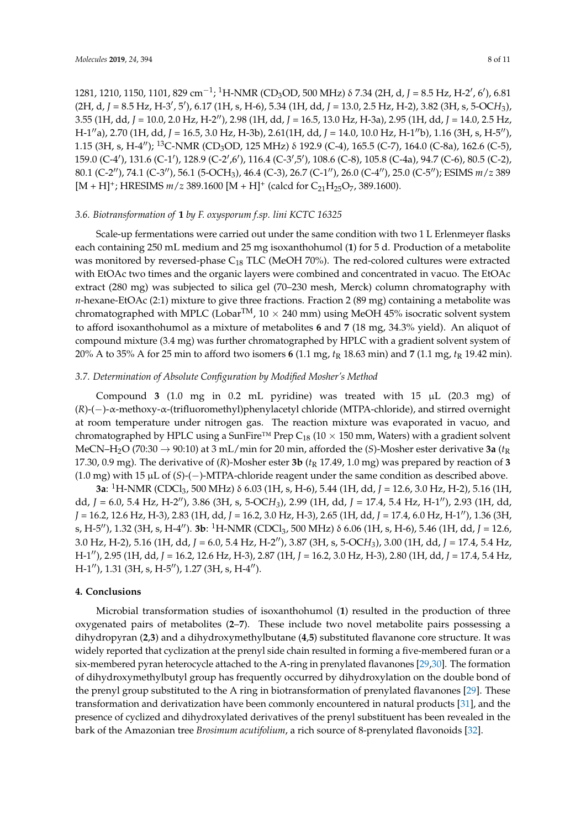1281, 1210, 1150, 1101, 829 cm<sup>−1</sup>; <sup>1</sup>H-NMR (CD<sub>3</sub>OD, 500 MHz) δ 7.34 (2H, d, *J* = 8.5 Hz, H-2', 6'), 6.81 (2H, d, J = 8.5 Hz, H-3', 5'), 6.17 (1H, s, H-6), 5.34 (1H, dd, J = 13.0, 2.5 Hz, H-2), 3.82 (3H, s, 5-OCH<sub>3</sub>), 3.55 (1H, dd, *J* = 10.0, 2.0 Hz, H-2"), 2.98 (1H, dd, *J* = 16.5, 13.0 Hz, H-3a), 2.95 (1H, dd, *J* = 14.0, 2.5 Hz, H-1"a), 2.70 (1H, dd, *J* = 16.5, 3.0 Hz, H-3b), 2.61(1H, dd, *J* = 14.0, 10.0 Hz, H-1"b), 1.16 (3H, s, H-5"), 1.15 (3H, s, H-4''); <sup>13</sup>C-NMR (CD<sub>3</sub>OD, 125 MHz) δ 192.9 (C-4), 165.5 (C-7), 164.0 (C-8a), 162.6 (C-5), 159.0 (C-4'), 131.6 (C-1'), 128.9 (C-2',6'), 116.4 (C-3',5'), 108.6 (C-8), 105.8 (C-4a), 94.7 (C-6), 80.5 (C-2), 80.1 (C-2"), 74.1 (C-3"), 56.1 (5-OCH<sub>3</sub>), 46.4 (C-3), 26.7 (C-1"), 26.0 (C-4"), 25.0 (C-5"); ESIMS  $m/z$  389  $[M + H]^+$ ; HRESIMS  $m/z$  389.1600  $[M + H]^+$  (calcd for  $C_{21}H_{25}O_7$ , 389.1600).

#### *3.6. Biotransformation of* **1** *by F. oxysporum f.sp. lini KCTC 16325*

Scale-up fermentations were carried out under the same condition with two 1 L Erlenmeyer flasks each containing 250 mL medium and 25 mg isoxanthohumol (**1**) for 5 d. Production of a metabolite was monitored by reversed-phase  $C_{18}$  TLC (MeOH 70%). The red-colored cultures were extracted with EtOAc two times and the organic layers were combined and concentrated in vacuo. The EtOAc extract (280 mg) was subjected to silica gel (70–230 mesh, Merck) column chromatography with *n*-hexane-EtOAc (2:1) mixture to give three fractions. Fraction 2 (89 mg) containing a metabolite was chromatographed with MPLC (Lobar<sup>TM</sup>,  $10 \times 240$  mm) using MeOH 45% isocratic solvent system to afford isoxanthohumol as a mixture of metabolites **6** and **7** (18 mg, 34.3% yield). An aliquot of compound mixture (3.4 mg) was further chromatographed by HPLC with a gradient solvent system of 20% A to 35% A for 25 min to afford two isomers **6** (1.1 mg, *t*<sup>R</sup> 18.63 min) and **7** (1.1 mg, *t*<sup>R</sup> 19.42 min).

### *3.7. Determination of Absolute Configuration by Modified Mosher's Method*

Compound **3** (1.0 mg in 0.2 mL pyridine) was treated with 15 µL (20.3 mg) of (*R*)-(−)-α-methoxy-α-(trifluoromethyl)phenylacetyl chloride (MTPA-chloride), and stirred overnight at room temperature under nitrogen gas. The reaction mixture was evaporated in vacuo, and chromatographed by HPLC using a SunFire™ Prep C<sub>18</sub> (10  $\times$  150 mm, Waters) with a gradient solvent MeCN–H<sub>2</sub>O (70:30  $\rightarrow$  90:10) at 3 mL/min for 20 min, afforded the (*S*)-Mosher ester derivative **3a** ( $t<sub>R</sub>$ 17.30, 0.9 mg). The derivative of  $(R)$ -Mosher ester **3b** ( $t<sub>R</sub>$  17.49, 1.0 mg) was prepared by reaction of **3** (1.0 mg) with 15 µL of (*S*)-(−)-MTPA-chloride reagent under the same condition as described above.

**3a**: <sup>1</sup>H-NMR (CDCl3, 500 MHz) δ 6.03 (1H, s, H-6), 5.44 (1H, dd, *J* = 12.6, 3.0 Hz, H-2), 5.16 (1H, dd, *J* = 6.0, 5.4 Hz, H-2"), 3.86 (3H, s, 5-OCH<sub>3</sub>), 2.99 (1H, dd, *J* = 17.4, 5.4 Hz, H-1"), 2.93 (1H, dd, *J* = 16.2, 12.6 Hz, H-3), 2.83 (1H, dd, *J* = 16.2, 3.0 Hz, H-3), 2.65 (1H, dd, *J* = 17.4, 6.0 Hz, H-100), 1.36 (3H, s, H-5''), 1.32 (3H, s, H-4''). **3b**: <sup>1</sup>H-NMR (CDCl<sub>3</sub>, 500 MHz) δ 6.06 (1H, s, H-6), 5.46 (1H, dd, *J* = 12.6, 3.0 Hz, H-2), 5.16 (1H, dd, *J* = 6.0, 5.4 Hz, H-2"), 3.87 (3H, s, 5-OCH<sub>3</sub>), 3.00 (1H, dd, *J* = 17.4, 5.4 Hz, H-100), 2.95 (1H, dd, *J* = 16.2, 12.6 Hz, H-3), 2.87 (1H, *J* = 16.2, 3.0 Hz, H-3), 2.80 (1H, dd, *J* = 17.4, 5.4 Hz,  $H-1''$ ), 1.31 (3H, s, H-5"), 1.27 (3H, s, H-4").

#### **4. Conclusions**

Microbial transformation studies of isoxanthohumol (**1**) resulted in the production of three oxygenated pairs of metabolites (**2**–**7**). These include two novel metabolite pairs possessing a dihydropyran (**2**,**3**) and a dihydroxymethylbutane (**4**,**5**) substituted flavanone core structure. It was widely reported that cyclization at the prenyl side chain resulted in forming a five-membered furan or a six-membered pyran heterocycle attached to the A-ring in prenylated flavanones [\[29](#page-9-17)[,30\]](#page-9-18). The formation of dihydroxymethylbutyl group has frequently occurred by dihydroxylation on the double bond of the prenyl group substituted to the A ring in biotransformation of prenylated flavanones [\[29\]](#page-9-17). These transformation and derivatization have been commonly encountered in natural products [\[31\]](#page-9-19), and the presence of cyclized and dihydroxylated derivatives of the prenyl substituent has been revealed in the bark of the Amazonian tree *Brosimum acutifolium*, a rich source of 8-prenylated flavonoids [\[32\]](#page-9-20).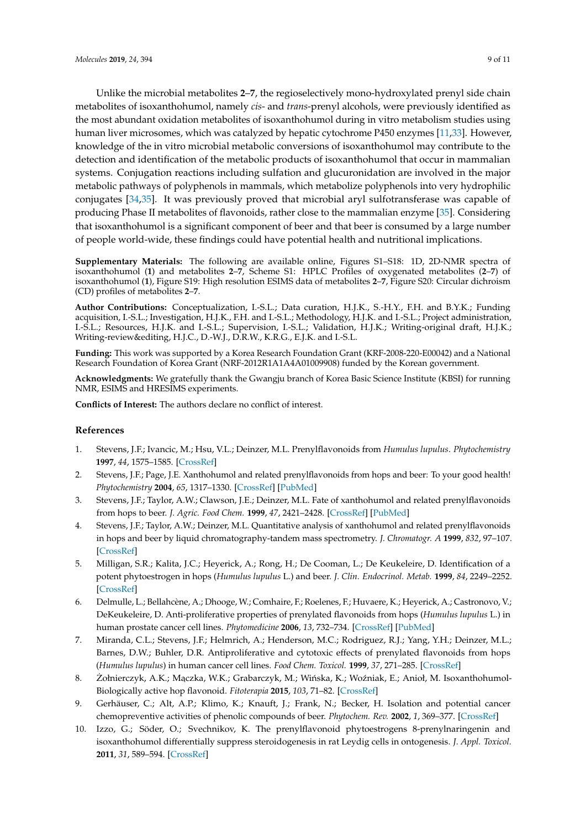Unlike the microbial metabolites **2**–**7**, the regioselectively mono-hydroxylated prenyl side chain metabolites of isoxanthohumol, namely *cis*- and *trans*-prenyl alcohols, were previously identified as the most abundant oxidation metabolites of isoxanthohumol during in vitro metabolism studies using human liver microsomes, which was catalyzed by hepatic cytochrome P450 enzymes [\[11](#page-9-0)[,33\]](#page-10-0). However, knowledge of the in vitro microbial metabolic conversions of isoxanthohumol may contribute to the detection and identification of the metabolic products of isoxanthohumol that occur in mammalian systems. Conjugation reactions including sulfation and glucuronidation are involved in the major metabolic pathways of polyphenols in mammals, which metabolize polyphenols into very hydrophilic conjugates [\[34](#page-10-1)[,35\]](#page-10-2). It was previously proved that microbial aryl sulfotransferase was capable of producing Phase II metabolites of flavonoids, rather close to the mammalian enzyme [\[35\]](#page-10-2). Considering that isoxanthohumol is a significant component of beer and that beer is consumed by a large number of people world-wide, these findings could have potential health and nutritional implications.

**Supplementary Materials:** The following are available online, Figures S1–S18: 1D, 2D-NMR spectra of isoxanthohumol (**1**) and metabolites **2**–**7**, Scheme S1: HPLC Profiles of oxygenated metabolites (**2**–**7**) of isoxanthohumol (**1**), Figure S19: High resolution ESIMS data of metabolites **2**–**7**, Figure S20: Circular dichroism (CD) profiles of metabolites **2**–**7**.

**Author Contributions:** Conceptualization, I.-S.L.; Data curation, H.J.K., S.-H.Y., F.H. and B.Y.K.; Funding acquisition, I.-S.L.; Investigation, H.J.K., F.H. and I.-S.L.; Methodology, H.J.K. and I.-S.L.; Project administration, I.-S.L.; Resources, H.J.K. and I.-S.L.; Supervision, I.-S.L.; Validation, H.J.K.; Writing-original draft, H.J.K.; Writing-review&editing, H.J.C., D.-W.J., D.R.W., K.R.G., E.J.K. and I.-S.L.

**Funding:** This work was supported by a Korea Research Foundation Grant (KRF-2008-220-E00042) and a National Research Foundation of Korea Grant (NRF-2012R1A1A4A01009908) funded by the Korean government.

**Acknowledgments:** We gratefully thank the Gwangju branch of Korea Basic Science Institute (KBSI) for running NMR, ESIMS and HRESIMS experiments.

**Conflicts of Interest:** The authors declare no conflict of interest.

#### **References**

- <span id="page-8-0"></span>1. Stevens, J.F.; Ivancic, M.; Hsu, V.L.; Deinzer, M.L. Prenylflavonoids from *Humulus lupulus*. *Phytochemistry* **1997**, *44*, 1575–1585. [\[CrossRef\]](http://dx.doi.org/10.1016/S0031-9422(96)00744-3)
- <span id="page-8-1"></span>2. Stevens, J.F.; Page, J.E. Xanthohumol and related prenylflavonoids from hops and beer: To your good health! *Phytochemistry* **2004**, *65*, 1317–1330. [\[CrossRef\]](http://dx.doi.org/10.1016/j.phytochem.2004.04.025) [\[PubMed\]](http://www.ncbi.nlm.nih.gov/pubmed/15231405)
- <span id="page-8-2"></span>3. Stevens, J.F.; Taylor, A.W.; Clawson, J.E.; Deinzer, M.L. Fate of xanthohumol and related prenylflavonoids from hops to beer. *J. Agric. Food Chem.* **1999**, *47*, 2421–2428. [\[CrossRef\]](http://dx.doi.org/10.1021/jf990101k) [\[PubMed\]](http://www.ncbi.nlm.nih.gov/pubmed/10794646)
- <span id="page-8-3"></span>4. Stevens, J.F.; Taylor, A.W.; Deinzer, M.L. Quantitative analysis of xanthohumol and related prenylflavonoids in hops and beer by liquid chromatography-tandem mass spectrometry. *J. Chromatogr. A* **1999**, *832*, 97–107. [\[CrossRef\]](http://dx.doi.org/10.1016/S0021-9673(98)01001-2)
- <span id="page-8-4"></span>5. Milligan, S.R.; Kalita, J.C.; Heyerick, A.; Rong, H.; De Cooman, L.; De Keukeleire, D. Identification of a potent phytoestrogen in hops (*Humulus lupulus* L.) and beer. *J. Clin. Endocrinol. Metab.* **1999**, *84*, 2249–2252. [\[CrossRef\]](http://dx.doi.org/10.1210/jcem.84.6.5887)
- <span id="page-8-5"></span>6. Delmulle, L.; Bellahcène, A.; Dhooge, W.; Comhaire, F.; Roelenes, F.; Huvaere, K.; Heyerick, A.; Castronovo, V.; DeKeukeleire, D. Anti-proliferative properties of prenylated flavonoids from hops (*Humulus lupulus* L.) in human prostate cancer cell lines. *Phytomedicine* **2006**, *13*, 732–734. [\[CrossRef\]](http://dx.doi.org/10.1016/j.phymed.2006.01.001) [\[PubMed\]](http://www.ncbi.nlm.nih.gov/pubmed/16678392)
- 7. Miranda, C.L.; Stevens, J.F.; Helmrich, A.; Henderson, M.C.; Rodriguez, R.J.; Yang, Y.H.; Deinzer, M.L.; Barnes, D.W.; Buhler, D.R. Antiproliferative and cytotoxic effects of prenylated flavonoids from hops (*Humulus lupulus*) in human cancer cell lines. *Food Chem. Toxicol.* **1999**, *37*, 271–285. [\[CrossRef\]](http://dx.doi.org/10.1016/S0278-6915(99)00019-8)
- <span id="page-8-6"></span>8. Żołnierczyk, A.K.; Mączka, W.K.; Grabarczyk, M.; Wińska, K.; Woźniak, E.; Anioł, M. Isoxanthohumol-Biologically active hop flavonoid. *Fitoterapia* **2015**, *103*, 71–82. [\[CrossRef\]](http://dx.doi.org/10.1016/j.fitote.2015.03.007)
- <span id="page-8-7"></span>9. Gerhäuser, C.; Alt, A.P.; Klimo, K.; Knauft, J.; Frank, N.; Becker, H. Isolation and potential cancer chemopreventive activities of phenolic compounds of beer. *Phytochem. Rev.* **2002**, *1*, 369–377. [\[CrossRef\]](http://dx.doi.org/10.1023/A:1026082325529)
- <span id="page-8-8"></span>10. Izzo, G.; Söder, O.; Svechnikov, K. The prenylflavonoid phytoestrogens 8-prenylnaringenin and isoxanthohumol differentially suppress steroidogenesis in rat Leydig cells in ontogenesis. *J. Appl. Toxicol.* **2011**, *31*, 589–594. [\[CrossRef\]](http://dx.doi.org/10.1002/jat.1602)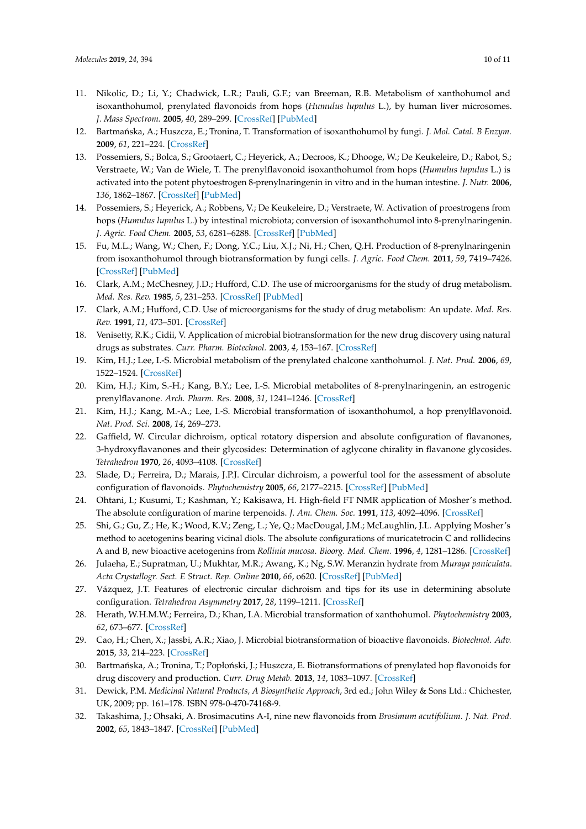- <span id="page-9-0"></span>11. Nikolic, D.; Li, Y.; Chadwick, L.R.; Pauli, G.F.; van Breeman, R.B. Metabolism of xanthohumol and isoxanthohumol, prenylated flavonoids from hops (*Humulus lupulus* L.), by human liver microsomes. *J. Mass Spectrom.* **2005**, *40*, 289–299. [\[CrossRef\]](http://dx.doi.org/10.1002/jms.753) [\[PubMed\]](http://www.ncbi.nlm.nih.gov/pubmed/15712367)
- <span id="page-9-1"></span>12. Bartmańska, A.; Huszcza, E.; Tronina, T. Transformation of isoxanthohumol by fungi. *J. Mol. Catal. B Enzym.* **2009**, *61*, 221–224. [\[CrossRef\]](http://dx.doi.org/10.1016/j.molcatb.2009.07.008)
- <span id="page-9-2"></span>13. Possemiers, S.; Bolca, S.; Grootaert, C.; Heyerick, A.; Decroos, K.; Dhooge, W.; De Keukeleire, D.; Rabot, S.; Verstraete, W.; Van de Wiele, T. The prenylflavonoid isoxanthohumol from hops (*Humulus lupulus* L.) is activated into the potent phytoestrogen 8-prenylnaringenin in vitro and in the human intestine. *J. Nutr.* **2006**, *136*, 1862–1867. [\[CrossRef\]](http://dx.doi.org/10.1093/jn/136.7.1862) [\[PubMed\]](http://www.ncbi.nlm.nih.gov/pubmed/16772450)
- 14. Possemiers, S.; Heyerick, A.; Robbens, V.; De Keukeleire, D.; Verstraete, W. Activation of proestrogens from hops (*Humulus lupulus* L.) by intestinal microbiota; conversion of isoxanthohumol into 8-prenylnaringenin. *J. Agric. Food Chem.* **2005**, *53*, 6281–6288. [\[CrossRef\]](http://dx.doi.org/10.1021/jf0509714) [\[PubMed\]](http://www.ncbi.nlm.nih.gov/pubmed/16076107)
- <span id="page-9-3"></span>15. Fu, M.L.; Wang, W.; Chen, F.; Dong, Y.C.; Liu, X.J.; Ni, H.; Chen, Q.H. Production of 8-prenylnaringenin from isoxanthohumol through biotransformation by fungi cells. *J. Agric. Food Chem.* **2011**, *59*, 7419–7426. [\[CrossRef\]](http://dx.doi.org/10.1021/jf2011722) [\[PubMed\]](http://www.ncbi.nlm.nih.gov/pubmed/21634799)
- <span id="page-9-4"></span>16. Clark, A.M.; McChesney, J.D.; Hufford, C.D. The use of microorganisms for the study of drug metabolism. *Med. Res. Rev.* **1985**, *5*, 231–253. [\[CrossRef\]](http://dx.doi.org/10.1002/med.2610050203) [\[PubMed\]](http://www.ncbi.nlm.nih.gov/pubmed/3887066)
- <span id="page-9-5"></span>17. Clark, A.M.; Hufford, C.D. Use of microorganisms for the study of drug metabolism: An update. *Med. Res. Rev.* **1991**, *11*, 473–501. [\[CrossRef\]](http://dx.doi.org/10.1002/med.2610110503)
- <span id="page-9-6"></span>18. Venisetty, R.K.; Cidii, V. Application of microbial biotransformation for the new drug discovery using natural drugs as substrates. *Curr. Pharm. Biotechnol.* **2003**, *4*, 153–167. [\[CrossRef\]](http://dx.doi.org/10.2174/1389201033489847)
- <span id="page-9-7"></span>19. Kim, H.J.; Lee, I.-S. Microbial metabolism of the prenylated chalcone xanthohumol. *J. Nat. Prod.* **2006**, *69*, 1522–1524. [\[CrossRef\]](http://dx.doi.org/10.1021/np060310g)
- <span id="page-9-8"></span>20. Kim, H.J.; Kim, S.-H.; Kang, B.Y.; Lee, I.-S. Microbial metabolites of 8-prenylnaringenin, an estrogenic prenylflavanone. *Arch. Pharm. Res.* **2008**, *31*, 1241–1246. [\[CrossRef\]](http://dx.doi.org/10.1007/s12272-001-2102-5)
- <span id="page-9-9"></span>21. Kim, H.J.; Kang, M.-A.; Lee, I.-S. Microbial transformation of isoxanthohumol, a hop prenylflavonoid. *Nat. Prod. Sci.* **2008**, *14*, 269–273.
- <span id="page-9-10"></span>22. Gaffield, W. Circular dichroism, optical rotatory dispersion and absolute configuration of flavanones, 3-hydroxyflavanones and their glycosides: Determination of aglycone chirality in flavanone glycosides. *Tetrahedron* **1970**, *26*, 4093–4108. [\[CrossRef\]](http://dx.doi.org/10.1016/S0040-4020(01)93050-9)
- <span id="page-9-11"></span>23. Slade, D.; Ferreira, D.; Marais, J.P.J. Circular dichroism, a powerful tool for the assessment of absolute configuration of flavonoids. *Phytochemistry* **2005**, *66*, 2177–2215. [\[CrossRef\]](http://dx.doi.org/10.1016/j.phytochem.2005.02.002) [\[PubMed\]](http://www.ncbi.nlm.nih.gov/pubmed/16153414)
- <span id="page-9-12"></span>24. Ohtani, I.; Kusumi, T.; Kashman, Y.; Kakisawa, H. High-field FT NMR application of Mosher's method. The absolute configuration of marine terpenoids. *J. Am. Chem. Soc.* **1991**, *113*, 4092–4096. [\[CrossRef\]](http://dx.doi.org/10.1021/ja00011a006)
- <span id="page-9-13"></span>25. Shi, G.; Gu, Z.; He, K.; Wood, K.V.; Zeng, L.; Ye, Q.; MacDougal, J.M.; McLaughlin, J.L. Applying Mosher's method to acetogenins bearing vicinal diols. The absolute configurations of muricatetrocin C and rollidecins A and B, new bioactive acetogenins from *Rollinia mucosa*. *Bioorg. Med. Chem.* **1996**, *4*, 1281–1286. [\[CrossRef\]](http://dx.doi.org/10.1016/0968-0896(96)00114-9)
- <span id="page-9-14"></span>26. Julaeha, E.; Supratman, U.; Mukhtar, M.R.; Awang, K.; Ng, S.W. Meranzin hydrate from *Muraya paniculata*. *Acta Crystallogr. Sect. E Struct. Rep. Online* **2010**, *66*, o620. [\[CrossRef\]](http://dx.doi.org/10.1107/S1600536810005386) [\[PubMed\]](http://www.ncbi.nlm.nih.gov/pubmed/21580378)
- <span id="page-9-15"></span>27. Vázquez, J.T. Features of electronic circular dichroism and tips for its use in determining absolute configuration. *Tetrahedron Asymmetry* **2017**, *28*, 1199–1211. [\[CrossRef\]](http://dx.doi.org/10.1016/j.tetasy.2017.09.015)
- <span id="page-9-16"></span>28. Herath, W.H.M.W.; Ferreira, D.; Khan, I.A. Microbial transformation of xanthohumol. *Phytochemistry* **2003**, *62*, 673–677. [\[CrossRef\]](http://dx.doi.org/10.1016/S0031-9422(02)00615-5)
- <span id="page-9-17"></span>29. Cao, H.; Chen, X.; Jassbi, A.R.; Xiao, J. Microbial biotransformation of bioactive flavonoids. *Biotechnol. Adv.* **2015**, *33*, 214–223. [\[CrossRef\]](http://dx.doi.org/10.1016/j.biotechadv.2014.10.012)
- <span id="page-9-18"></span>30. Bartmańska, A.; Tronina, T.; Popłoński, J.; Huszcza, E. Biotransformations of prenylated hop flavonoids for drug discovery and production. *Curr. Drug Metab.* **2013**, *14*, 1083–1097. [\[CrossRef\]](http://dx.doi.org/10.2174/1389200214666131211151855)
- <span id="page-9-19"></span>31. Dewick, P.M. *Medicinal Natural Products, A Biosynthetic Approach*, 3rd ed.; John Wiley & Sons Ltd.: Chichester, UK, 2009; pp. 161–178. ISBN 978-0-470-74168-9.
- <span id="page-9-20"></span>32. Takashima, J.; Ohsaki, A. Brosimacutins A-I, nine new flavonoids from *Brosimum acutifolium*. *J. Nat. Prod.* **2002**, *65*, 1843–1847. [\[CrossRef\]](http://dx.doi.org/10.1021/np020241f) [\[PubMed\]](http://www.ncbi.nlm.nih.gov/pubmed/12502325)